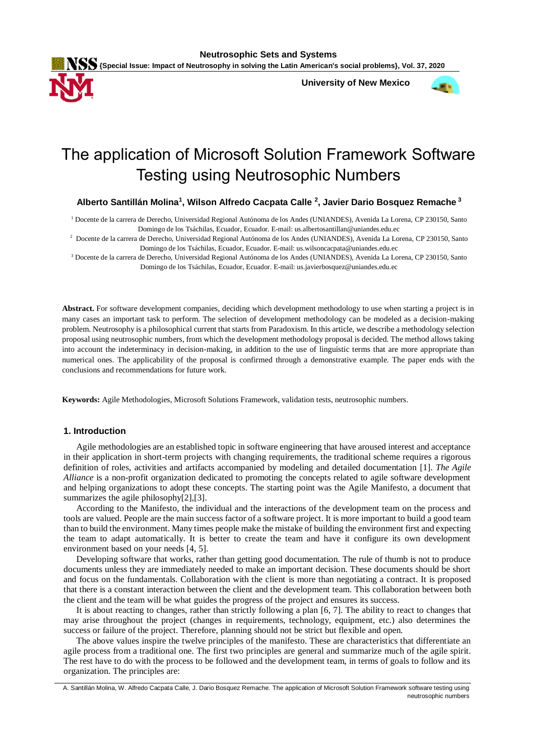

**University of New Mexico**



# The application of Microsoft Solution Framework Software Testing using Neutrosophic Numbers

**Alberto Santillán Molina<sup>1</sup> , Wilson Alfredo Cacpata Calle <sup>2</sup> , Javier Dario Bosquez Remache<sup>3</sup>**

<sup>1</sup> Docente de la carrera de Derecho, Universidad Regional Autónoma de los Andes (UNIANDES), Avenida La Lorena, CP 230150, Santo Domingo de los Tsáchilas, Ecuador, Ecuador. E-mail: us.albertosantillan@uniandes.edu.ec

2 Docente de la carrera de Derecho, Universidad Regional Autónoma de los Andes (UNIANDES), Avenida La Lorena, CP 230150, Santo Domingo de los Tsáchilas, Ecuador, Ecuador. E-mail: us.wilsoncacpata@uniandes.edu.ec

<sup>3</sup> Docente de la carrera de Derecho, Universidad Regional Autónoma de los Andes (UNIANDES), Avenida La Lorena, CP 230150, Santo Domingo de los Tsáchilas, Ecuador, Ecuador. E-mail: us.javierbosquez@uniandes.edu.ec

**Abstract.** For software development companies, deciding which development methodology to use when starting a project is in many cases an important task to perform. The selection of development methodology can be modeled as a decision-making problem. Neutrosophy is a philosophical current that starts from Paradoxism. In this article, we describe a methodology selection proposal using neutrosophic numbers, from which the development methodology proposal is decided. The method allows taking into account the indeterminacy in decision-making, in addition to the use of linguistic terms that are more appropriate than numerical ones. The applicability of the proposal is confirmed through a demonstrative example. The paper ends with the conclusions and recommendations for future work.

**Keywords:** Agile Methodologies, Microsoft Solutions Framework, validation tests, neutrosophic numbers.

# **1. Introduction**

Agile methodologies are an established topic in software engineering that have aroused interest and acceptance in their application in short-term projects with changing requirements, the traditional scheme requires a rigorous definition of roles, activities and artifacts accompanied by modeling and detailed documentation [\[1\]](#page-7-0). *The Agile Alliance* is a non-profit organization dedicated to promoting the concepts related to agile software development and helping organizations to adopt these concepts. The starting point was the Agile Manifesto, a document that summarizes the agile philosophy[\[2\]](#page-7-1),[\[3\]](#page-7-2).

According to the Manifesto, the individual and the interactions of the development team on the process and tools are valued. People are the main success factor of a software project. It is more important to build a good team than to build the environment. Many times people make the mistake of building the environment first and expecting the team to adapt automatically. It is better to create the team and have it configure its own development environment based on your needs [\[4,](#page-7-3) [5\]](#page-7-4).

Developing software that works, rather than getting good documentation. The rule of thumb is not to produce documents unless they are immediately needed to make an important decision. These documents should be short and focus on the fundamentals. Collaboration with the client is more than negotiating a contract. It is proposed that there is a constant interaction between the client and the development team. This collaboration between both the client and the team will be what guides the progress of the project and ensures its success.

It is about reacting to changes, rather than strictly following a plan [\[6,](#page-8-0) [7\]](#page-8-1). The ability to react to changes that may arise throughout the project (changes in requirements, technology, equipment, etc.) also determines the success or failure of the project. Therefore, planning should not be strict but flexible and open.

The above values inspire the twelve principles of the manifesto. These are characteristics that differentiate an agile process from a traditional one. The first two principles are general and summarize much of the agile spirit. The rest have to do with the process to be followed and the development team, in terms of goals to follow and its organization. The principles are:

A. Santillán Molina, W. Alfredo Cacpata Calle, J. Dario Bosquez Remache. The application of Microsoft Solution Framework software testing using neutrosophic numbers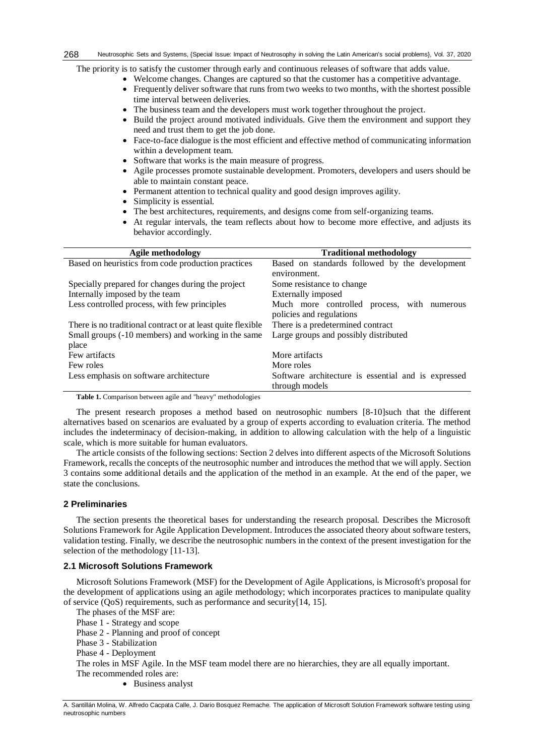The priority is to satisfy the customer through early and continuous releases of software that adds value.

- Welcome changes. Changes are captured so that the customer has a competitive advantage.
- Frequently deliver software that runs from two weeks to two months, with the shortest possible time interval between deliveries.
- The business team and the developers must work together throughout the project.
- Build the project around motivated individuals. Give them the environment and support they need and trust them to get the job done.
- Face-to-face dialogue is the most efficient and effective method of communicating information within a development team.
- Software that works is the main measure of progress.
- Agile processes promote sustainable development. Promoters, developers and users should be able to maintain constant peace.
- Permanent attention to technical quality and good design improves agility.
- Simplicity is essential.
- The best architectures, requirements, and designs come from self-organizing teams.
- At regular intervals, the team reflects about how to become more effective, and adjusts its behavior accordingly.

| Agile methodology                                           | <b>Traditional methodology</b>                      |  |  |  |
|-------------------------------------------------------------|-----------------------------------------------------|--|--|--|
| Based on heuristics from code production practices          | Based on standards followed by the development      |  |  |  |
|                                                             | environment.                                        |  |  |  |
| Specially prepared for changes during the project           | Some resistance to change                           |  |  |  |
| Internally imposed by the team                              | Externally imposed                                  |  |  |  |
| Less controlled process, with few principles                | Much more controlled process, with numerous         |  |  |  |
|                                                             | policies and regulations                            |  |  |  |
| There is no traditional contract or at least quite flexible | There is a predetermined contract                   |  |  |  |
| Small groups (-10 members) and working in the same          | Large groups and possibly distributed               |  |  |  |
| place                                                       |                                                     |  |  |  |
| Few artifacts                                               | More artifacts                                      |  |  |  |
| Few roles                                                   | More roles                                          |  |  |  |
| Less emphasis on software architecture                      | Software architecture is essential and is expressed |  |  |  |
|                                                             | through models                                      |  |  |  |

**Table 1.** Comparison between agile and "heavy" methodologies

The present research proposes a method based on neutrosophic numbers [\[8-10\]](#page-8-2)such that the different alternatives based on scenarios are evaluated by a group of experts according to evaluation criteria. The method includes the indeterminacy of decision-making, in addition to allowing calculation with the help of a linguistic scale, which is more suitable for human evaluators.

The article consists of the following sections: Section 2 delves into different aspects of the Microsoft Solutions Framework, recalls the concepts of the neutrosophic number and introduces the method that we will apply. Section 3 contains some additional details and the application of the method in an example. At the end of the paper, we state the conclusions.

# **2 Preliminaries**

The section presents the theoretical bases for understanding the research proposal. Describes the Microsoft Solutions Framework for Agile Application Development. Introduces the associated theory about software testers, validation testing. Finally, we describe the neutrosophic numbers in the context of the present investigation for the selection of the methodology [\[11-13\]](#page-8-3).

### **2.1 Microsoft Solutions Framework**

Microsoft Solutions Framework (MSF) for the Development of Agile Applications, is Microsoft's proposal for the development of applications using an agile methodology; which incorporates practices to manipulate quality of service (QoS) requirements, such as performance and security[\[14,](#page-8-4) [15\]](#page-8-5).

The phases of the MSF are:

Phase 1 - Strategy and scope

Phase 2 - Planning and proof of concept

Phase 3 - Stabilization

Phase 4 - Deployment

The roles in MSF Agile. In the MSF team model there are no hierarchies, they are all equally important. The recommended roles are:

• Business analyst

A. Santillán Molina, W. Alfredo Cacpata Calle, J. Dario Bosquez Remache. The application of Microsoft Solution Framework software testing using neutrosophic numbers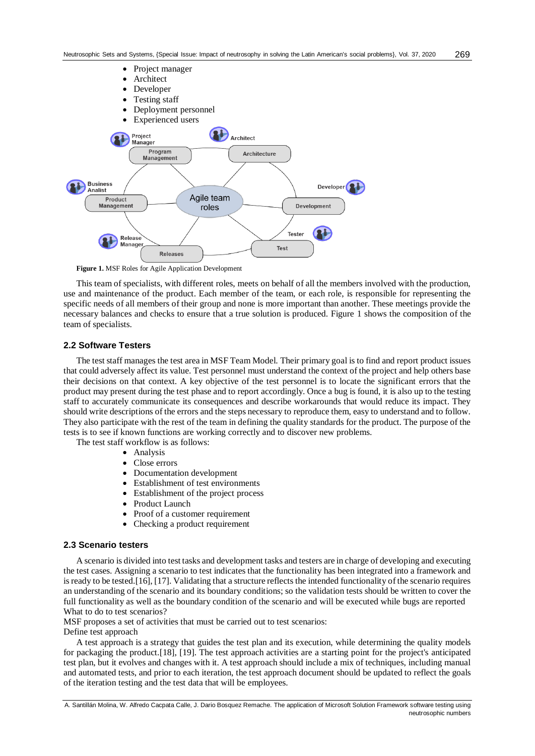

**Figure 1.** MSF Roles for Agile Application Development

This team of specialists, with different roles, meets on behalf of all the members involved with the production, use and maintenance of the product. Each member of the team, or each role, is responsible for representing the specific needs of all members of their group and none is more important than another. These meetings provide the necessary balances and checks to ensure that a true solution is produced. Figure 1 shows the composition of the team of specialists.

#### **2.2 Software Testers**

The test staff manages the test area in MSF Team Model. Their primary goal is to find and report product issues that could adversely affect its value. Test personnel must understand the context of the project and help others base their decisions on that context. A key objective of the test personnel is to locate the significant errors that the product may present during the test phase and to report accordingly. Once a bug is found, it is also up to the testing staff to accurately communicate its consequences and describe workarounds that would reduce its impact. They should write descriptions of the errors and the steps necessary to reproduce them, easy to understand and to follow. They also participate with the rest of the team in defining the quality standards for the product. The purpose of the tests is to see if known functions are working correctly and to discover new problems.

The test staff workflow is as follows:

- Analysis
- Close errors
- Documentation development
- Establishment of test environments
- Establishment of the project process
- Product Launch
- Proof of a customer requirement
- Checking a product requirement

# **2.3 Scenario testers**

A scenario is divided into test tasks and development tasks and testers are in charge of developing and executing the test cases. Assigning a scenario to test indicates that the functionality has been integrated into a framework and is ready to be tested.[\[16\]](#page-8-6), [\[17\]](#page-8-7). Validating that a structure reflects the intended functionality of the scenario requires an understanding of the scenario and its boundary conditions; so the validation tests should be written to cover the full functionality as well as the boundary condition of the scenario and will be executed while bugs are reported What to do to test scenarios?

MSF proposes a set of activities that must be carried out to test scenarios:

Define test approach

A test approach is a strategy that guides the test plan and its execution, while determining the quality models for packaging the product.[\[18\]](#page-8-8), [\[19\]](#page-8-9). The test approach activities are a starting point for the project's anticipated test plan, but it evolves and changes with it. A test approach should include a mix of techniques, including manual and automated tests, and prior to each iteration, the test approach document should be updated to reflect the goals of the iteration testing and the test data that will be employees.

A. Santillán Molina, W. Alfredo Cacpata Calle, J. Dario Bosquez Remache. The application of Microsoft Solution Framework software testing using neutrosophic numbers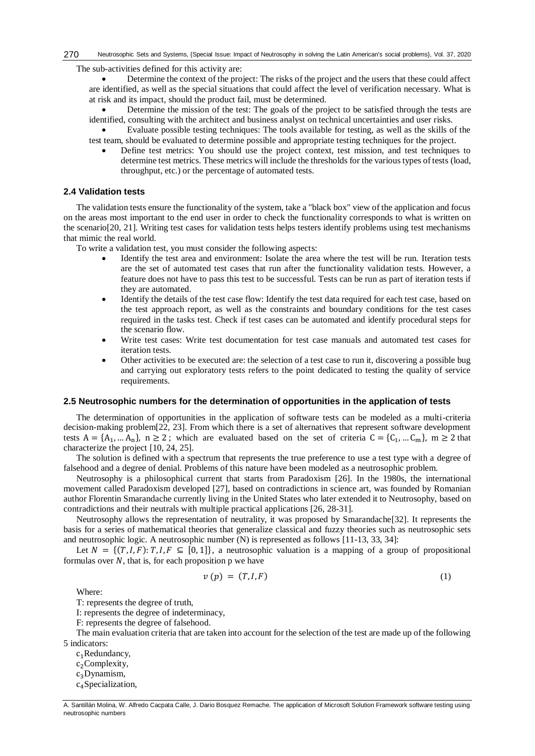The sub-activities defined for this activity are:

 Determine the context of the project: The risks of the project and the users that these could affect are identified, as well as the special situations that could affect the level of verification necessary. What is at risk and its impact, should the product fail, must be determined.

 Determine the mission of the test: The goals of the project to be satisfied through the tests are identified, consulting with the architect and business analyst on technical uncertainties and user risks.

- Evaluate possible testing techniques: The tools available for testing, as well as the skills of the test team, should be evaluated to determine possible and appropriate testing techniques for the project.
	- Define test metrics: You should use the project context, test mission, and test techniques to determine test metrics. These metrics will include the thresholds for the various types of tests (load, throughput, etc.) or the percentage of automated tests.

# **2.4 Validation tests**

The validation tests ensure the functionality of the system, take a "black box" view of the application and focus on the areas most important to the end user in order to check the functionality corresponds to what is written on the scenario[\[20,](#page-8-10) [21\]](#page-8-11). Writing test cases for validation tests helps testers identify problems using test mechanisms that mimic the real world.

To write a validation test, you must consider the following aspects:

- Identify the test area and environment: Isolate the area where the test will be run. Iteration tests are the set of automated test cases that run after the functionality validation tests. However, a feature does not have to pass this test to be successful. Tests can be run as part of iteration tests if they are automated.
- Identify the details of the test case flow: Identify the test data required for each test case, based on the test approach report, as well as the constraints and boundary conditions for the test cases required in the tasks test. Check if test cases can be automated and identify procedural steps for the scenario flow.
- Write test cases: Write test documentation for test case manuals and automated test cases for iteration tests.
- Other activities to be executed are: the selection of a test case to run it, discovering a possible bug and carrying out exploratory tests refers to the point dedicated to testing the quality of service requirements.

### **2.5 Neutrosophic numbers for the determination of opportunities in the application of tests**

The determination of opportunities in the application of software tests can be modeled as a multi-criteria decision-making problem[\[22,](#page-8-12) [23\]](#page-8-13). From which there is a set of alternatives that represent software development tests  $A = \{A_1, \dots A_n\}$ ,  $n \ge 2$ ; which are evaluated based on the set of criteria  $C = \{C_1, \dots C_m\}$ ,  $m \ge 2$  that characterize the project [\[10,](#page-8-14) [24,](#page-8-15) [25\]](#page-8-16).

The solution is defined with a spectrum that represents the true preference to use a test type with a degree of falsehood and a degree of denial. Problems of this nature have been modeled as a neutrosophic problem.

Neutrosophy is a philosophical current that starts from Paradoxism [\[26\]](#page-8-17). In the 1980s, the international movement called Paradoxism developed [\[27\]](#page-8-18), based on contradictions in science art, was founded by Romanian author Florentin Smarandache currently living in the United States who later extended it to Neutrosophy, based on contradictions and their neutrals with multiple practical applications [\[26,](#page-8-17) [28-31\]](#page-8-19).

Neutrosophy allows the representation of neutrality, it was proposed by Smarandache[\[32\]](#page-8-20). It represents the basis for a series of mathematical theories that generalize classical and fuzzy theories such as neutrosophic sets and neutrosophic logic. A neutrosophic number (N) is represented as follows [\[11-13,](#page-8-3) [33,](#page-8-21) [34\]](#page-9-0):

Let  $N = \{(T, I, F): T, I, F \subseteq [0, 1]\}$ , a neutrosophic valuation is a mapping of a group of propositional formulas over  $N$ , that is, for each proposition p we have

$$
v(p) = (T, I, F) \tag{1}
$$

Where:

T: represents the degree of truth,

I: represents the degree of indeterminacy,

F: represents the degree of falsehood.

The main evaluation criteria that are taken into account for the selection of the test are made up of the following 5 indicators:

 $c_1$ Redundancy,  $c_2$ Complexity,  $c_3$ Dynamism,  $c_4$ Specialization,

A. Santillán Molina, W. Alfredo Cacpata Calle, J. Dario Bosquez Remache. The application of Microsoft Solution Framework software testing using neutrosophic numbers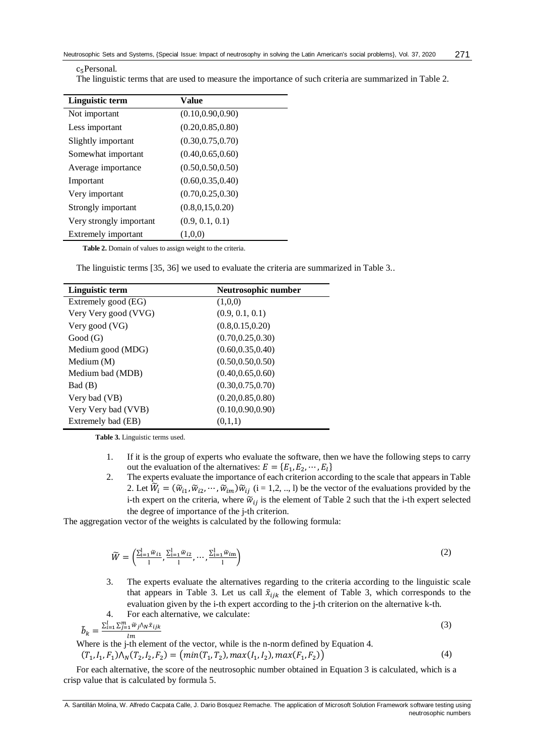(3)

The linguistic terms that are used to measure the importance of such criteria are summarized in Table 2.

| Linguistic term         | Value              |
|-------------------------|--------------------|
| Not important           | (0.10, 0.90, 0.90) |
| Less important          | (0.20, 0.85, 0.80) |
| Slightly important      | (0.30, 0.75, 0.70) |
| Somewhat important      | (0.40, 0.65, 0.60) |
| Average importance      | (0.50, 0.50, 0.50) |
| Important               | (0.60, 0.35, 0.40) |
| Very important          | (0.70, 0.25, 0.30) |
| Strongly important      | (0.8, 0.15, 0.20)  |
| Very strongly important | (0.9, 0.1, 0.1)    |
| Extremely important     | (1,0,0)            |

**Table 2.** Domain of values to assign weight to the criteria.

The linguistic terms [\[35,](#page-9-1) [36\]](#page-9-2) we used to evaluate the criteria are summarized in Table 3..

| Linguistic term      | Neutrosophic number |
|----------------------|---------------------|
| Extremely good (EG)  | (1,0,0)             |
| Very Very good (VVG) | (0.9, 0.1, 0.1)     |
| Very good (VG)       | (0.8, 0.15, 0.20)   |
| Good(G)              | (0.70, 0.25, 0.30)  |
| Medium good (MDG)    | (0.60, 0.35, 0.40)  |
| Medium (M)           | (0.50, 0.50, 0.50)  |
| Medium bad (MDB)     | (0.40, 0.65, 0.60)  |
| Bad (B)              | (0.30, 0.75, 0.70)  |
| Very bad (VB)        | (0.20, 0.85, 0.80)  |
| Very Very bad (VVB)  | (0.10, 0.90, 0.90)  |
| Extremely bad (EB)   | (0,1,1)             |

**Table 3.** Linguistic terms used.

- 1. If it is the group of experts who evaluate the software, then we have the following steps to carry out the evaluation of the alternatives:  $E = \{E_1, E_2, \dots, E_l\}$
- 2. The experts evaluate the importance of each criterion according to the scale that appears in Table 2. Let  $\widetilde{W}_i = (\widetilde{W}_{i1}, \widetilde{W}_{i2}, \cdots, \widetilde{W}_{im}) \widetilde{W}_{ij}$  (i = 1,2, .., l) be the vector of the evaluations provided by the i-th expert on the criteria, where  $\tilde{w}_{ij}$  is the element of Table 2 such that the i-th expert selected the degree of importance of the j-th criterion.

The aggregation vector of the weights is calculated by the following formula:

$$
\widetilde{W} = \left(\frac{\sum_{i=1}^{l} \widetilde{w}_{i1}}{1}, \frac{\sum_{i=1}^{l} \widetilde{w}_{i2}}{1}, \cdots, \frac{\sum_{i=1}^{l} \widetilde{w}_{im}}{1}\right)
$$
\n(2)

3. The experts evaluate the alternatives regarding to the criteria according to the linguistic scale that appears in Table 3. Let us call  $\tilde{x}_{ijk}$  the element of Table 3, which corresponds to the evaluation given by the i-th expert according to the j-th criterion on the alternative k-th. 4. For each alternative, we calculate:

$$
\tilde{b}_k = \frac{\sum_{i=1}^l \sum_{j=1}^m \tilde{w}_j \wedge_N \tilde{x}_{ijk}}{lm}
$$

 $\overline{lm}$ Where is the j-th element of the vector, while is the n-norm defined by Equation 4.

$$
(T_1, I_1, F_1) \Lambda_N (T_2, I_2, F_2) = (min(T_1, T_2), max(I_1, I_2), max(F_1, F_2))
$$
\n(4)

For each alternative, the score of the neutrosophic number obtained in Equation 3 is calculated, which is a crisp value that is calculated by formula 5.

A. Santillán Molina, W. Alfredo Cacpata Calle, J. Dario Bosquez Remache. The application of Microsoft Solution Framework software testing using neutrosophic numbers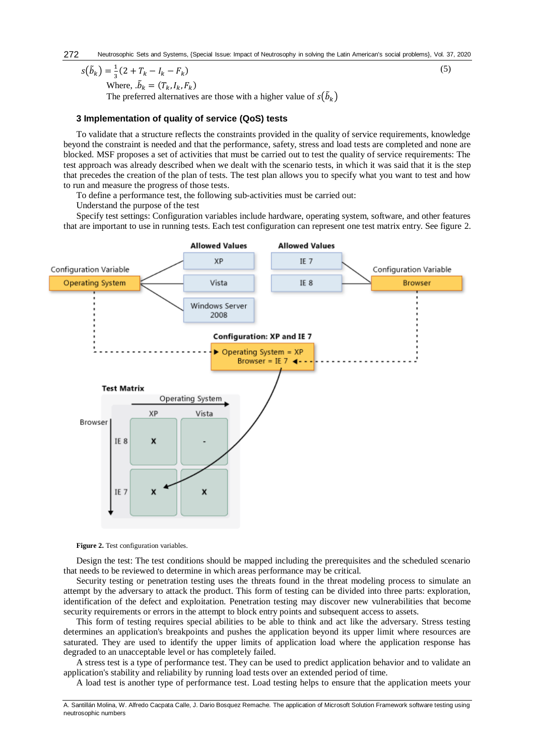#### $s(\tilde{b}_k) = \frac{1}{3}$  $\frac{1}{3}(2 + T_k - I_k - F_k)$  $)$  (5)

Where,  $\tilde{b}_k = (T_k, I_k, F_k)$ 

The preferred alternatives are those with a higher value of  $s(\tilde{b}_k)$ 

# **3 Implementation of quality of service (QoS) tests**

To validate that a structure reflects the constraints provided in the quality of service requirements, knowledge beyond the constraint is needed and that the performance, safety, stress and load tests are completed and none are blocked. MSF proposes a set of activities that must be carried out to test the quality of service requirements: The test approach was already described when we dealt with the scenario tests, in which it was said that it is the step that precedes the creation of the plan of tests. The test plan allows you to specify what you want to test and how to run and measure the progress of those tests.

To define a performance test, the following sub-activities must be carried out:

Understand the purpose of the test

Specify test settings: Configuration variables include hardware, operating system, software, and other features that are important to use in running tests. Each test configuration can represent one test matrix entry. See figure 2.



**Figure 2.** Test configuration variables.

Design the test: The test conditions should be mapped including the prerequisites and the scheduled scenario that needs to be reviewed to determine in which areas performance may be critical.

Security testing or penetration testing uses the threats found in the threat modeling process to simulate an attempt by the adversary to attack the product. This form of testing can be divided into three parts: exploration, identification of the defect and exploitation. Penetration testing may discover new vulnerabilities that become security requirements or errors in the attempt to block entry points and subsequent access to assets.

This form of testing requires special abilities to be able to think and act like the adversary. Stress testing determines an application's breakpoints and pushes the application beyond its upper limit where resources are saturated. They are used to identify the upper limits of application load where the application response has degraded to an unacceptable level or has completely failed.

A stress test is a type of performance test. They can be used to predict application behavior and to validate an application's stability and reliability by running load tests over an extended period of time.

A load test is another type of performance test. Load testing helps to ensure that the application meets your

A. Santillán Molina, W. Alfredo Cacpata Calle, J. Dario Bosquez Remache. The application of Microsoft Solution Framework software testing using neutrosophic numbers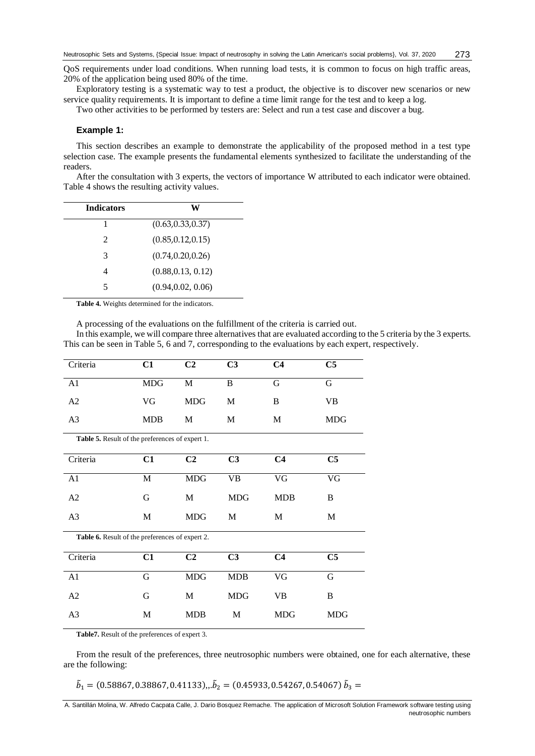QoS requirements under load conditions. When running load tests, it is common to focus on high traffic areas, 20% of the application being used 80% of the time.

Exploratory testing is a systematic way to test a product, the objective is to discover new scenarios or new service quality requirements. It is important to define a time limit range for the test and to keep a log.

Two other activities to be performed by testers are: Select and run a test case and discover a bug.

#### **Example 1:**

This section describes an example to demonstrate the applicability of the proposed method in a test type selection case. The example presents the fundamental elements synthesized to facilitate the understanding of the readers.

After the consultation with 3 experts, the vectors of importance W attributed to each indicator were obtained. Table 4 shows the resulting activity values.

| w                  |
|--------------------|
| (0.63, 0.33, 0.37) |
| (0.85, 0.12, 0.15) |
| (0.74, 0.20, 0.26) |
| (0.88, 0.13, 0.12) |
| (0.94, 0.02, 0.06) |
|                    |

**Table 4.** Weights determined for the indicators.

A processing of the evaluations on the fulfillment of the criteria is carried out.

In this example, we will compare three alternatives that are evaluated according to the 5 criteria by the 3 experts. This can be seen in Table 5, 6 and 7, corresponding to the evaluations by each expert, respectively.

| Criteria                                        | C1          | C <sub>2</sub> | C <sub>3</sub> | C <sub>4</sub> | C <sub>5</sub> |  |  |  |
|-------------------------------------------------|-------------|----------------|----------------|----------------|----------------|--|--|--|
| A1                                              | <b>MDG</b>  | M              | $\bf{B}$       | $\mathbf G$    | G              |  |  |  |
| A2                                              | VG          | <b>MDG</b>     | M              | B              | VB             |  |  |  |
| A <sub>3</sub>                                  | <b>MDB</b>  | М              | М              | M              | <b>MDG</b>     |  |  |  |
| Table 5. Result of the preferences of expert 1. |             |                |                |                |                |  |  |  |
| Criteria                                        | C1          | C <sub>2</sub> | C <sub>3</sub> | C <sub>4</sub> | C <sub>5</sub> |  |  |  |
| A1                                              | $\mathbf M$ | <b>MDG</b>     | <b>VB</b>      | VG             | VG             |  |  |  |
| A2                                              | G           | M              | <b>MDG</b>     | <b>MDB</b>     | B              |  |  |  |
| A <sub>3</sub>                                  | M           | <b>MDG</b>     | M              | M              | M              |  |  |  |
| Table 6. Result of the preferences of expert 2. |             |                |                |                |                |  |  |  |
| Criteria                                        | C1          | C <sub>2</sub> | C <sub>3</sub> | C <sub>4</sub> | C <sub>5</sub> |  |  |  |
| A1                                              | $\mathbf G$ | <b>MDG</b>     | MDB            | VG             | G              |  |  |  |
| A2                                              | G           | M              | <b>MDG</b>     | <b>VB</b>      | B              |  |  |  |
| A3                                              | M           | <b>MDB</b>     | M              | <b>MDG</b>     | <b>MDG</b>     |  |  |  |

**Table7.** Result of the preferences of expert 3.

From the result of the preferences, three neutrosophic numbers were obtained, one for each alternative, these are the following:

 $\tilde{b}_1 = (0.58867, 0.38867, 0.41133), \tilde{b}_2 = (0.45933, 0.54267, 0.54067) \tilde{b}_3 =$ 

A. Santillán Molina, W. Alfredo Cacpata Calle, J. Dario Bosquez Remache. The application of Microsoft Solution Framework software testing using neutrosophic numbers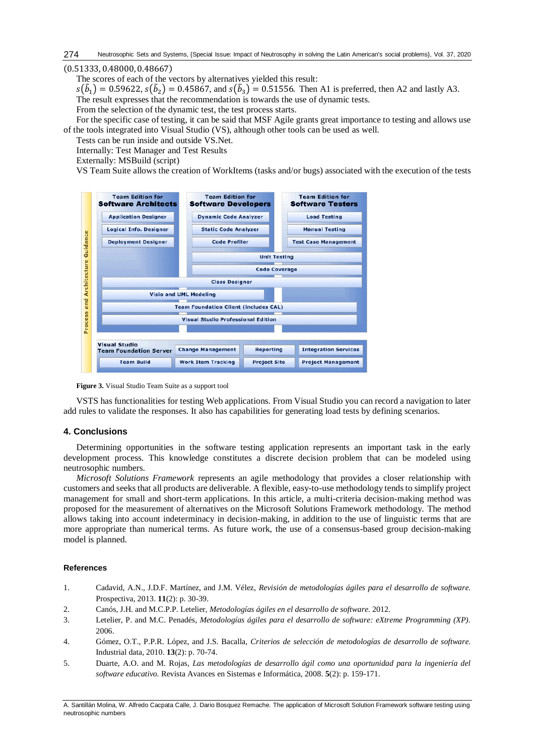#### (0.51333, 0.48000, 0.48667)

The scores of each of the vectors by alternatives yielded this result:

 $s(\tilde{b}_1) = 0.59622, s(\tilde{b}_2) = 0.45867$ , and  $s(\tilde{b}_3) = 0.51556$ . Then A1 is preferred, then A2 and lastly A3.

The result expresses that the recommendation is towards the use of dynamic tests.

From the selection of the dynamic test, the test process starts.

For the specific case of testing, it can be said that MSF Agile grants great importance to testing and allows use of the tools integrated into Visual Studio (VS), although other tools can be used as well.

Tests can be run inside and outside VS.Net.

Internally: Test Manager and Test Results

Externally: MSBuild (script)

VS Team Suite allows the creation of WorkItems (tasks and/or bugs) associated with the execution of the tests





VSTS has functionalities for testing Web applications. From Visual Studio you can record a navigation to later add rules to validate the responses. It also has capabilities for generating load tests by defining scenarios.

# **4. Conclusions**

Determining opportunities in the software testing application represents an important task in the early development process. This knowledge constitutes a discrete decision problem that can be modeled using neutrosophic numbers.

*Microsoft Solutions Framework* represents an agile methodology that provides a closer relationship with customers and seeks that all products are deliverable. A flexible, easy-to-use methodology tends to simplify project management for small and short-term applications. In this article, a multi-criteria decision-making method was proposed for the measurement of alternatives on the Microsoft Solutions Framework methodology. The method allows taking into account indeterminacy in decision-making, in addition to the use of linguistic terms that are more appropriate than numerical terms. As future work, the use of a consensus-based group decision-making model is planned.

# **References**

- <span id="page-7-0"></span>1. Cadavid, A.N., J.D.F. Martínez, and J.M. Vélez, *Revisión de metodologías ágiles para el desarrollo de software.* Prospectiva, 2013. **11**(2): p. 30-39.
- <span id="page-7-1"></span>2. Canós, J.H. and M.C.P.P. Letelier, *Metodologías ágiles en el desarrollo de software.* 2012.
- <span id="page-7-2"></span>3. Letelier, P. and M.C. Penadés, *Metodologías ágiles para el desarrollo de software: eXtreme Programming (XP).* 2006.
- <span id="page-7-3"></span>4. Gómez, O.T., P.P.R. López, and J.S. Bacalla, *Criterios de selección de metodologías de desarrollo de software.* Industrial data, 2010. **13**(2): p. 70-74.
- <span id="page-7-4"></span>5. Duarte, A.O. and M. Rojas, *Las metodologías de desarrollo ágil como una oportunidad para la ingeniería del software educativo.* Revista Avances en Sistemas e Informática, 2008. **5**(2): p. 159-171.

A. Santillán Molina, W. Alfredo Cacpata Calle, J. Dario Bosquez Remache. The application of Microsoft Solution Framework software testing using neutrosophic numbers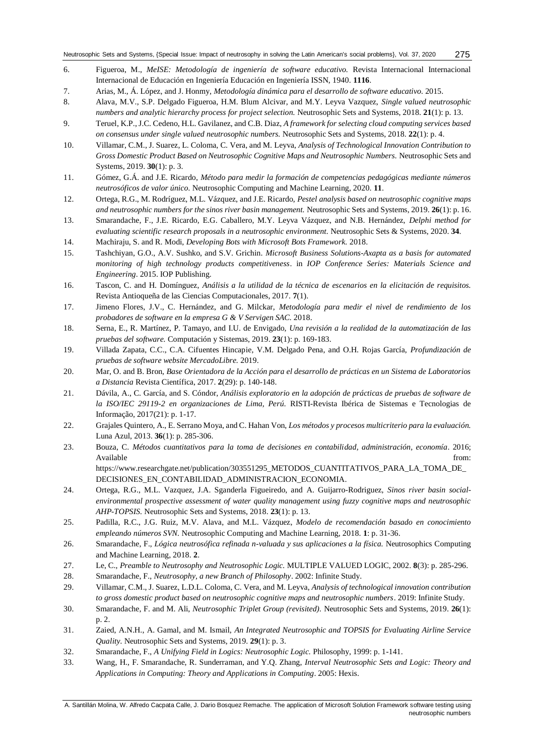- <span id="page-8-0"></span>6. Figueroa, M., *MeISE: Metodología de ingeniería de software educativo.* Revista Internacional Internacional Internacional de Educación en Ingeniería Educación en Ingeniería ISSN, 1940. **1116**.
- <span id="page-8-1"></span>7. Arias, M., Á. López, and J. Honmy, *Metodología dinámica para el desarrollo de software educativo.* 2015.
- <span id="page-8-2"></span>8. Alava, M.V., S.P. Delgado Figueroa, H.M. Blum Alcivar, and M.Y. Leyva Vazquez, *Single valued neutrosophic numbers and analytic hierarchy process for project selection.* Neutrosophic Sets and Systems, 2018. **21**(1): p. 13.
- 9. Teruel, K.P., J.C. Cedeno, H.L. Gavilanez, and C.B. Diaz, *A framework for selecting cloud computing services based on consensus under single valued neutrosophic numbers.* Neutrosophic Sets and Systems, 2018. **22**(1): p. 4.
- <span id="page-8-14"></span>10. Villamar, C.M., J. Suarez, L. Coloma, C. Vera, and M. Leyva, *Analysis of Technological Innovation Contribution to Gross Domestic Product Based on Neutrosophic Cognitive Maps and Neutrosophic Numbers.* Neutrosophic Sets and Systems, 2019. **30**(1): p. 3.
- <span id="page-8-3"></span>11. Gómez, G.Á. and J.E. Ricardo, *Método para medir la formación de competencias pedagógicas mediante números neutrosóficos de valor único.* Neutrosophic Computing and Machine Learning, 2020. **11**.
- 12. Ortega, R.G., M. Rodríguez, M.L. Vázquez, and J.E. Ricardo, *Pestel analysis based on neutrosophic cognitive maps and neutrosophic numbers for the sinos river basin management.* Neutrosophic Sets and Systems, 2019. **26**(1): p. 16.
- 13. Smarandache, F., J.E. Ricardo, E.G. Caballero, M.Y. Leyva Vázquez, and N.B. Hernández, *Delphi method for evaluating scientific research proposals in a neutrosophic environment.* Neutrosophic Sets & Systems, 2020. **34**.
- <span id="page-8-4"></span>14. Machiraju, S. and R. Modi, *Developing Bots with Microsoft Bots Framework.* 2018.
- <span id="page-8-5"></span>15. Tashchiyan, G.O., A.V. Sushko, and S.V. Grichin. *Microsoft Business Solutions-Axapta as a basis for automated monitoring of high technology products competitiveness*. in *IOP Conference Series: Materials Science and Engineering*. 2015. IOP Publishing.
- <span id="page-8-6"></span>16. Tascon, C. and H. Domínguez, *Análisis a la utilidad de la técnica de escenarios en la elicitación de requisitos.* Revista Antioqueña de las Ciencias Computacionales, 2017. **7**(1).
- <span id="page-8-7"></span>17. Jimeno Flores, J.V., C. Hernández, and G. Milckar, *Metodología para medir el nivel de rendimiento de los probadores de software en la empresa G & V Servigen SAC.* 2018.
- <span id="page-8-8"></span>18. Serna, E., R. Martínez, P. Tamayo, and I.U. de Envigado, *Una revisión a la realidad de la automatización de las pruebas del software.* Computación y Sistemas, 2019. **23**(1): p. 169-183.
- <span id="page-8-9"></span>19. Villada Zapata, C.C., C.A. Cifuentes Hincapie, V.M. Delgado Pena, and O.H. Rojas García, *Profundización de pruebas de software website MercadoLibre.* 2019.
- <span id="page-8-10"></span>20. Mar, O. and B. Bron, *Base Orientadora de la Acción para el desarrollo de prácticas en un Sistema de Laboratorios a Distancia* Revista Científica, 2017. **2**(29): p. 140-148.
- <span id="page-8-11"></span>21. Dávila, A., C. García, and S. Cóndor, *Análisis exploratorio en la adopción de prácticas de pruebas de software de la ISO/IEC 29119-2 en organizaciones de Lima, Perú.* RISTI-Revista Ibérica de Sistemas e Tecnologias de Informação, 2017(21): p. 1-17.
- <span id="page-8-12"></span>22. Grajales Quintero, A., E. Serrano Moya, and C. Hahan Von, *Los métodos y procesos multicriterio para la evaluación.* Luna Azul, 2013. **36**(1): p. 285-306.
- <span id="page-8-13"></span>23. Bouza, C. *Métodos cuantitativos para la toma de decisiones en contabilidad, administración, economía*. 2016; Available from: the contract of the contract of the contract of the contract of the contract of the contract of the contract of the contract of the contract of the contract of the contract of the contract of the contract o https://www.researchgate.net/publication/303551295\_METODOS\_CUANTITATIVOS\_PARA\_LA\_TOMA\_DE\_
	- DECISIONES\_EN\_CONTABILIDAD\_ADMINISTRACION\_ECONOMIA.
- <span id="page-8-15"></span>24. Ortega, R.G., M.L. Vazquez, J.A. Sganderla Figueiredo, and A. Guijarro-Rodriguez, *Sinos river basin socialenvironmental prospective assessment of water quality management using fuzzy cognitive maps and neutrosophic AHP-TOPSIS.* Neutrosophic Sets and Systems, 2018. **23**(1): p. 13.
- <span id="page-8-16"></span>25. Padilla, R.C., J.G. Ruiz, M.V. Alava, and M.L. Vázquez, *Modelo de recomendación basado en conocimiento empleando números SVN.* Neutrosophic Computing and Machine Learning, 2018. **1**: p. 31-36.
- <span id="page-8-17"></span>26. Smarandache, F., *Lógica neutrosófica refinada n-valuada y sus aplicaciones a la física.* Neutrosophics Computing and Machine Learning, 2018. **2**.
- <span id="page-8-18"></span>27. Le, C., *Preamble to Neutrosophy and Neutrosophic Logic.* MULTIPLE VALUED LOGIC, 2002. **8**(3): p. 285-296.
- <span id="page-8-19"></span>28. Smarandache, F., *Neutrosophy, a new Branch of Philosophy*. 2002: Infinite Study.
- 29. Villamar, C.M., J. Suarez, L.D.L. Coloma, C. Vera, and M. Leyva, *Analysis of technological innovation contribution to gross domestic product based on neutrosophic cognitive maps and neutrosophic numbers*. 2019: Infinite Study.
- 30. Smarandache, F. and M. Ali, *Neutrosophic Triplet Group (revisited).* Neutrosophic Sets and Systems, 2019. **26**(1): p. 2.
- 31. Zaied, A.N.H., A. Gamal, and M. Ismail, *An Integrated Neutrosophic and TOPSIS for Evaluating Airline Service Quality.* Neutrosophic Sets and Systems, 2019. **29**(1): p. 3.
- <span id="page-8-20"></span>32. Smarandache, F., *A Unifying Field in Logics: Neutrosophic Logic.* Philosophy, 1999: p. 1-141.
- <span id="page-8-21"></span>33. Wang, H., F. Smarandache, R. Sunderraman, and Y.Q. Zhang, *Interval Neutrosophic Sets and Logic: Theory and Applications in Computing: Theory and Applications in Computing*. 2005: Hexis.

A. Santillán Molina, W. Alfredo Cacpata Calle, J. Dario Bosquez Remache. The application of Microsoft Solution Framework software testing using neutrosophic numbers